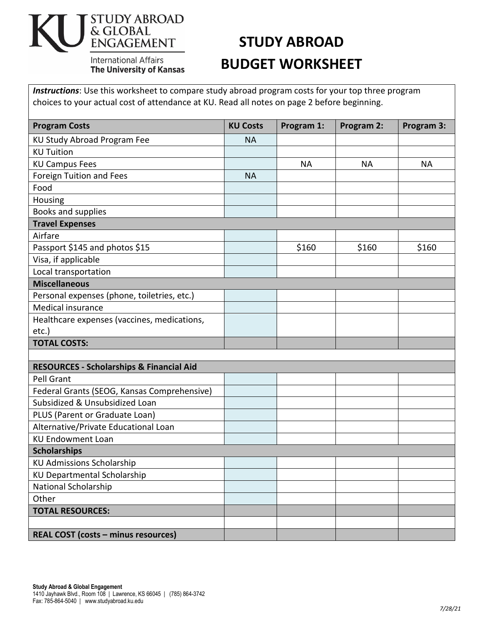

## **STUDY ABROAD**

**International Affairs** The University of Kansas

## **BUDGET WORKSHEET**

*Instructions*: Use this worksheet to compare study abroad program costs for your top three program choices to your actual cost of attendance at KU. Read all notes on page 2 before beginning.

| <b>Program Costs</b>                        | <b>KU Costs</b> | Program 1: | Program 2: | Program 3: |
|---------------------------------------------|-----------------|------------|------------|------------|
| KU Study Abroad Program Fee                 | <b>NA</b>       |            |            |            |
| <b>KU Tuition</b>                           |                 |            |            |            |
| <b>KU Campus Fees</b>                       |                 | <b>NA</b>  | <b>NA</b>  | <b>NA</b>  |
| Foreign Tuition and Fees                    | <b>NA</b>       |            |            |            |
| Food                                        |                 |            |            |            |
| Housing                                     |                 |            |            |            |
| Books and supplies                          |                 |            |            |            |
| <b>Travel Expenses</b>                      |                 |            |            |            |
| Airfare                                     |                 |            |            |            |
| Passport \$145 and photos \$15              |                 | \$160      | \$160      | \$160      |
| Visa, if applicable                         |                 |            |            |            |
| Local transportation                        |                 |            |            |            |
| <b>Miscellaneous</b>                        |                 |            |            |            |
| Personal expenses (phone, toiletries, etc.) |                 |            |            |            |
| <b>Medical insurance</b>                    |                 |            |            |            |
| Healthcare expenses (vaccines, medications, |                 |            |            |            |
| etc.)                                       |                 |            |            |            |
| <b>TOTAL COSTS:</b>                         |                 |            |            |            |
|                                             |                 |            |            |            |
| RESOURCES - Scholarships & Financial Aid    |                 |            |            |            |
| Pell Grant                                  |                 |            |            |            |
| Federal Grants (SEOG, Kansas Comprehensive) |                 |            |            |            |
| Subsidized & Unsubsidized Loan              |                 |            |            |            |
| PLUS (Parent or Graduate Loan)              |                 |            |            |            |
| Alternative/Private Educational Loan        |                 |            |            |            |
| <b>KU Endowment Loan</b>                    |                 |            |            |            |
| <b>Scholarships</b>                         |                 |            |            |            |
| <b>KU Admissions Scholarship</b>            |                 |            |            |            |
| KU Departmental Scholarship                 |                 |            |            |            |
| <b>National Scholarship</b>                 |                 |            |            |            |
| Other                                       |                 |            |            |            |
| <b>TOTAL RESOURCES:</b>                     |                 |            |            |            |
|                                             |                 |            |            |            |
| <b>REAL COST (costs - minus resources)</b>  |                 |            |            |            |